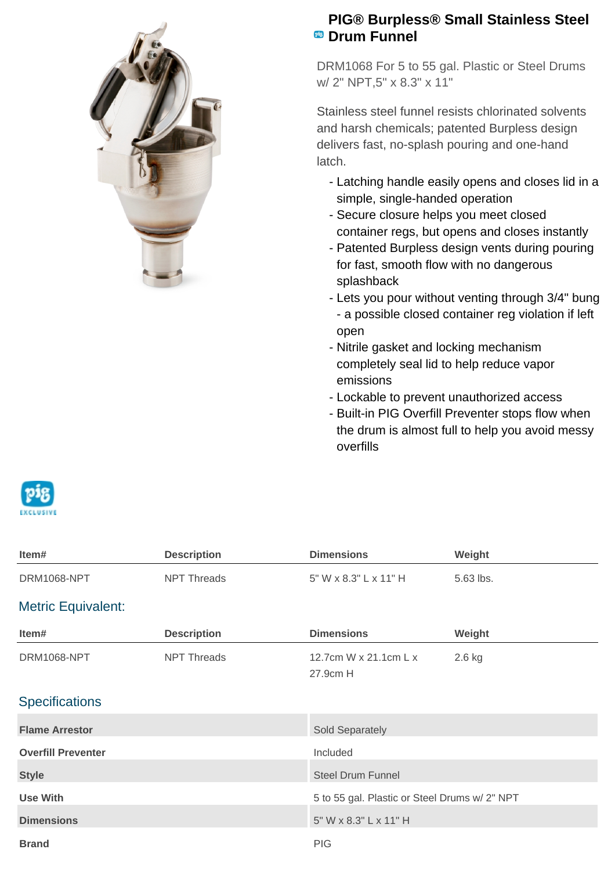

## **PIG® Burpless® Small Stainless Steel PB** Drum Funnel

DRM1068 For 5 to 55 gal. Plastic or Steel Drums w/ 2" NPT,5" x 8.3" x 11"

Stainless steel funnel resists chlorinated solvents and harsh chemicals; patented Burpless design delivers fast, no-splash pouring and one-hand latch.

- Latching handle easily opens and closes lid in a simple, single-handed operation
- Secure closure helps you meet closed container regs, but opens and closes instantly
- Patented Burpless design vents during pouring for fast, smooth flow with no dangerous splashback
- Lets you pour without venting through 3/4" bung - a possible closed container reg violation if left open
- Nitrile gasket and locking mechanism completely seal lid to help reduce vapor emissions
- Lockable to prevent unauthorized access
- Built-in PIG Overfill Preventer stops flow when the drum is almost full to help you avoid messy overfills



| Item#                     | <b>Description</b> | <b>Dimensions</b>                             | Weight    |
|---------------------------|--------------------|-----------------------------------------------|-----------|
| DRM1068-NPT               | <b>NPT Threads</b> | 5" W x 8.3" L x 11" H                         | 5.63 lbs. |
| <b>Metric Equivalent:</b> |                    |                                               |           |
| Item#                     | <b>Description</b> | <b>Dimensions</b>                             | Weight    |
| <b>DRM1068-NPT</b>        | <b>NPT Threads</b> | 12.7cm W x 21.1cm L x<br>27.9cm H             | 2.6 kg    |
| <b>Specifications</b>     |                    |                                               |           |
| <b>Flame Arrestor</b>     |                    | Sold Separately                               |           |
| <b>Overfill Preventer</b> |                    | Included                                      |           |
| <b>Style</b>              |                    | <b>Steel Drum Funnel</b>                      |           |
| <b>Use With</b>           |                    | 5 to 55 gal. Plastic or Steel Drums w/ 2" NPT |           |
| <b>Dimensions</b>         |                    | 5" W x 8.3" L x 11" H                         |           |
| <b>Brand</b>              |                    | <b>PIG</b>                                    |           |